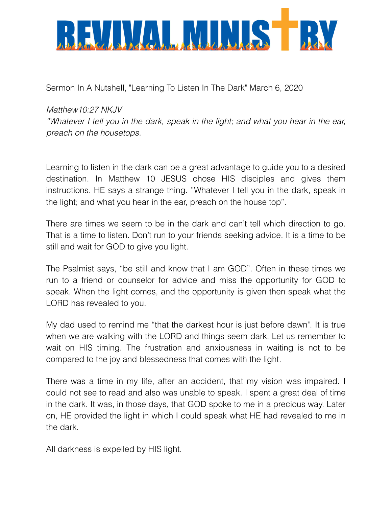

Sermon In A Nutshell, "Learning To Listen In The Dark" March 6, 2020

## *Matthew10:27 NKJV*

*"Whatever I tell you in the dark, speak in the light; and what you hear in the ear, preach on the housetops.*

Learning to listen in the dark can be a great advantage to guide you to a desired destination. In Matthew 10 JESUS chose HIS disciples and gives them instructions. HE says a strange thing. "Whatever I tell you in the dark, speak in the light; and what you hear in the ear, preach on the house top".

There are times we seem to be in the dark and can't tell which direction to go. That is a time to listen. Don't run to your friends seeking advice. It is a time to be still and wait for GOD to give you light.

The Psalmist says, "be still and know that I am GOD". Often in these times we run to a friend or counselor for advice and miss the opportunity for GOD to speak. When the light comes, and the opportunity is given then speak what the LORD has revealed to you.

My dad used to remind me "that the darkest hour is just before dawn". It is true when we are walking with the LORD and things seem dark. Let us remember to wait on HIS timing. The frustration and anxiousness in waiting is not to be compared to the joy and blessedness that comes with the light.

There was a time in my life, after an accident, that my vision was impaired. I could not see to read and also was unable to speak. I spent a great deal of time in the dark. It was, in those days, that GOD spoke to me in a precious way. Later on, HE provided the light in which I could speak what HE had revealed to me in the dark.

All darkness is expelled by HIS light.